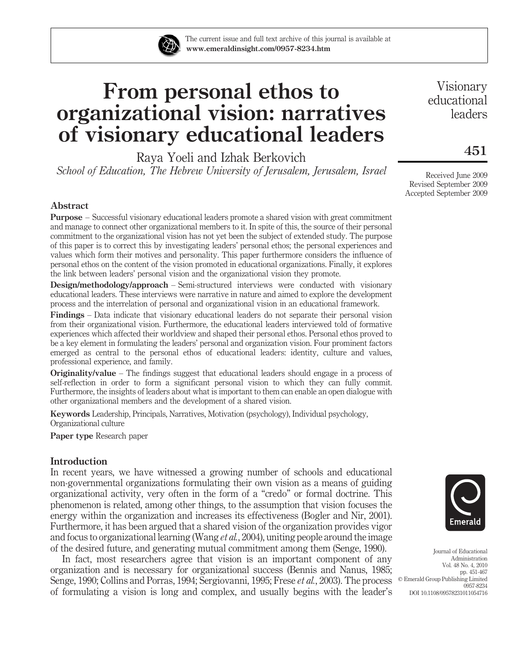

The current issue and full text archive of this journal is available at www.emeraldinsight.com/0957-8234.htm

# From personal ethos to organizational vision: narratives of visionary educational leaders

Raya Yoeli and Izhak Berkovich

School of Education, The Hebrew University of Jerusalem, Jerusalem, Israel

# Abstract

Purpose – Successful visionary educational leaders promote a shared vision with great commitment and manage to connect other organizational members to it. In spite of this, the source of their personal commitment to the organizational vision has not yet been the subject of extended study. The purpose of this paper is to correct this by investigating leaders' personal ethos; the personal experiences and values which form their motives and personality. This paper furthermore considers the influence of personal ethos on the content of the vision promoted in educational organizations. Finally, it explores the link between leaders' personal vision and the organizational vision they promote.

Design/methodology/approach – Semi-structured interviews were conducted with visionary educational leaders. These interviews were narrative in nature and aimed to explore the development process and the interrelation of personal and organizational vision in an educational framework.

Findings – Data indicate that visionary educational leaders do not separate their personal vision from their organizational vision. Furthermore, the educational leaders interviewed told of formative experiences which affected their worldview and shaped their personal ethos. Personal ethos proved to be a key element in formulating the leaders' personal and organization vision. Four prominent factors emerged as central to the personal ethos of educational leaders: identity, culture and values, professional experience, and family.

**Originality/value** – The findings suggest that educational leaders should engage in a process of self-reflection in order to form a significant personal vision to which they can fully commit. Furthermore, the insights of leaders about what is important to them can enable an open dialogue with other organizational members and the development of a shared vision.

Keywords Leadership, Principals, Narratives, Motivation (psychology), Individual psychology, Organizational culture

Paper type Research paper

# Introduction

In recent years, we have witnessed a growing number of schools and educational non-governmental organizations formulating their own vision as a means of guiding organizational activity, very often in the form of a "credo" or formal doctrine. This phenomenon is related, among other things, to the assumption that vision focuses the energy within the organization and increases its effectiveness (Bogler and Nir, 2001). Furthermore, it has been argued that a shared vision of the organization provides vigor and focus to organizational learning (Wang et al., 2004), uniting people around the image of the desired future, and generating mutual commitment among them (Senge, 1990).

In fact, most researchers agree that vision is an important component of any organization and is necessary for organizational success (Bennis and Nanus, 1985; Senge, 1990; Collins and Porras, 1994; Sergiovanni, 1995; Frese et al., 2003). The process of formulating a vision is long and complex, and usually begins with the leader's

Visionary educational leaders

# 451

Received June 2009 Revised September 2009 Accepted September 2009



Journal of Educational Administration Vol. 48 No. 4, 2010 pp. 451-467 q Emerald Group Publishing Limited 0957-8234 DOI 10.1108/09578231011054716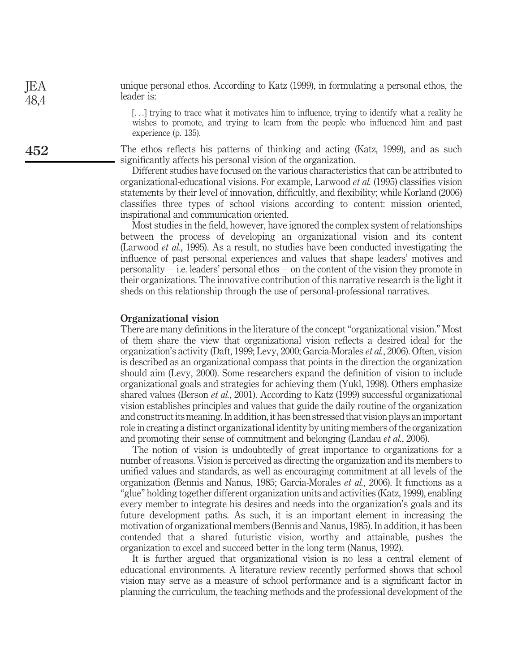unique personal ethos. According to Katz (1999), in formulating a personal ethos, the leader is:

[...] trying to trace what it motivates him to influence, trying to identify what a reality he wishes to promote, and trying to learn from the people who influenced him and past experience (p. 135).

The ethos reflects his patterns of thinking and acting (Katz, 1999), and as such significantly affects his personal vision of the organization.

Different studies have focused on the various characteristics that can be attributed to organizational-educational visions. For example, Larwood et al. (1995) classifies vision statements by their level of innovation, difficultly, and flexibility; while Korland (2006) classifies three types of school visions according to content: mission oriented, inspirational and communication oriented.

Most studies in the field, however, have ignored the complex system of relationships between the process of developing an organizational vision and its content (Larwood et al., 1995). As a result, no studies have been conducted investigating the influence of past personal experiences and values that shape leaders' motives and personality – i.e. leaders' personal ethos – on the content of the vision they promote in their organizations. The innovative contribution of this narrative research is the light it sheds on this relationship through the use of personal-professional narratives.

#### Organizational vision

There are many definitions in the literature of the concept "organizational vision." Most of them share the view that organizational vision reflects a desired ideal for the organization's activity (Daft, 1999; Levy, 2000; Garcia-Morales et al., 2006). Often, vision is described as an organizational compass that points in the direction the organization should aim (Levy, 2000). Some researchers expand the definition of vision to include organizational goals and strategies for achieving them (Yukl, 1998). Others emphasize shared values (Berson et al., 2001). According to Katz (1999) successful organizational vision establishes principles and values that guide the daily routine of the organization and construct its meaning. In addition, it has been stressed that vision plays an important role in creating a distinct organizational identity by uniting members of the organization and promoting their sense of commitment and belonging (Landau et al., 2006).

The notion of vision is undoubtedly of great importance to organizations for a number of reasons. Vision is perceived as directing the organization and its members to unified values and standards, as well as encouraging commitment at all levels of the organization (Bennis and Nanus, 1985; Garcia-Morales et al., 2006). It functions as a "glue" holding together different organization units and activities (Katz, 1999), enabling every member to integrate his desires and needs into the organization's goals and its future development paths. As such, it is an important element in increasing the motivation of organizational members (Bennis and Nanus, 1985). In addition, it has been contended that a shared futuristic vision, worthy and attainable, pushes the organization to excel and succeed better in the long term (Nanus, 1992).

It is further argued that organizational vision is no less a central element of educational environments. A literature review recently performed shows that school vision may serve as a measure of school performance and is a significant factor in planning the curriculum, the teaching methods and the professional development of the

**IEA** 48,4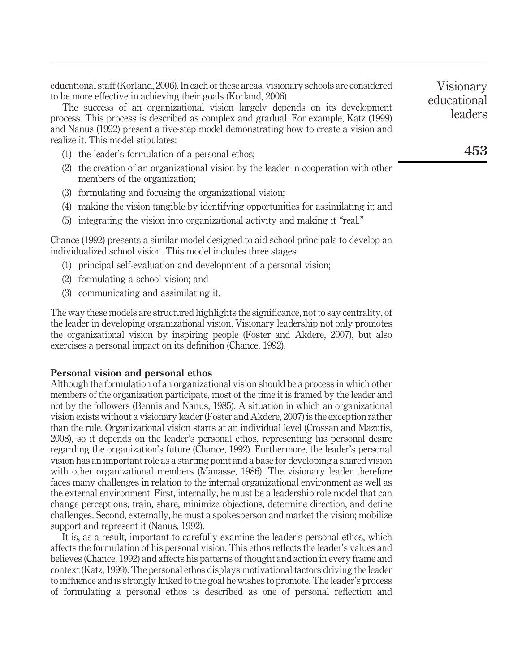educational staff (Korland, 2006). In each of these areas, visionary schools are considered to be more effective in achieving their goals (Korland, 2006).

The success of an organizational vision largely depends on its development process. This process is described as complex and gradual. For example, Katz (1999) and Nanus (1992) present a five-step model demonstrating how to create a vision and realize it. This model stipulates:

- (1) the leader's formulation of a personal ethos;
- (2) the creation of an organizational vision by the leader in cooperation with other members of the organization;
- (3) formulating and focusing the organizational vision;
- (4) making the vision tangible by identifying opportunities for assimilating it; and
- (5) integrating the vision into organizational activity and making it "real."

Chance (1992) presents a similar model designed to aid school principals to develop an individualized school vision. This model includes three stages:

- (1) principal self-evaluation and development of a personal vision;
- (2) formulating a school vision; and
- (3) communicating and assimilating it.

The way these models are structured highlights the significance, not to say centrality, of the leader in developing organizational vision. Visionary leadership not only promotes the organizational vision by inspiring people (Foster and Akdere, 2007), but also exercises a personal impact on its definition (Chance, 1992).

#### Personal vision and personal ethos

Although the formulation of an organizational vision should be a process in which other members of the organization participate, most of the time it is framed by the leader and not by the followers (Bennis and Nanus, 1985). A situation in which an organizational vision exists without a visionary leader (Foster and Akdere, 2007) is the exception rather than the rule. Organizational vision starts at an individual level (Crossan and Mazutis, 2008), so it depends on the leader's personal ethos, representing his personal desire regarding the organization's future (Chance, 1992). Furthermore, the leader's personal vision has an important role as a starting point and a base for developing a shared vision with other organizational members (Manasse, 1986). The visionary leader therefore faces many challenges in relation to the internal organizational environment as well as the external environment. First, internally, he must be a leadership role model that can change perceptions, train, share, minimize objections, determine direction, and define challenges. Second, externally, he must a spokesperson and market the vision; mobilize support and represent it (Nanus, 1992).

It is, as a result, important to carefully examine the leader's personal ethos, which affects the formulation of his personal vision. This ethos reflects the leader's values and believes (Chance, 1992) and affects his patterns of thought and action in every frame and context (Katz, 1999). The personal ethos displays motivational factors driving the leader to influence and is strongly linked to the goal he wishes to promote. The leader's process of formulating a personal ethos is described as one of personal reflection and

Visionary educational leaders

# 453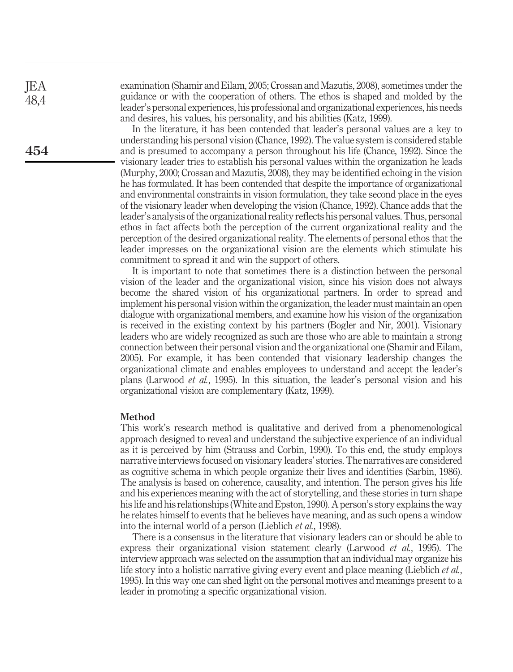examination (Shamir and Eilam, 2005; Crossan and Mazutis, 2008), sometimes under the guidance or with the cooperation of others. The ethos is shaped and molded by the leader's personal experiences, his professional and organizational experiences, his needs and desires, his values, his personality, and his abilities (Katz, 1999).

In the literature, it has been contended that leader's personal values are a key to understanding his personal vision (Chance, 1992). The value system is considered stable and is presumed to accompany a person throughout his life (Chance, 1992). Since the visionary leader tries to establish his personal values within the organization he leads (Murphy, 2000; Crossan and Mazutis, 2008), they may be identified echoing in the vision he has formulated. It has been contended that despite the importance of organizational and environmental constraints in vision formulation, they take second place in the eyes of the visionary leader when developing the vision (Chance, 1992). Chance adds that the leader's analysis of the organizational reality reflects his personal values. Thus, personal ethos in fact affects both the perception of the current organizational reality and the perception of the desired organizational reality. The elements of personal ethos that the leader impresses on the organizational vision are the elements which stimulate his commitment to spread it and win the support of others.

It is important to note that sometimes there is a distinction between the personal vision of the leader and the organizational vision, since his vision does not always become the shared vision of his organizational partners. In order to spread and implement his personal vision within the organization, the leader must maintain an open dialogue with organizational members, and examine how his vision of the organization is received in the existing context by his partners (Bogler and Nir, 2001). Visionary leaders who are widely recognized as such are those who are able to maintain a strong connection between their personal vision and the organizational one (Shamir and Eilam, 2005). For example, it has been contended that visionary leadership changes the organizational climate and enables employees to understand and accept the leader's plans (Larwood et al., 1995). In this situation, the leader's personal vision and his organizational vision are complementary (Katz, 1999).

#### **Method**

This work's research method is qualitative and derived from a phenomenological approach designed to reveal and understand the subjective experience of an individual as it is perceived by him (Strauss and Corbin, 1990). To this end, the study employs narrative interviews focused on visionary leaders' stories. The narratives are considered as cognitive schema in which people organize their lives and identities (Sarbin, 1986). The analysis is based on coherence, causality, and intention. The person gives his life and his experiences meaning with the act of storytelling, and these stories in turn shape his life and his relationships (White and Epston, 1990). A person's story explains the way he relates himself to events that he believes have meaning, and as such opens a window into the internal world of a person (Lieblich et al., 1998).

There is a consensus in the literature that visionary leaders can or should be able to express their organizational vision statement clearly (Larwood et al., 1995). The interview approach was selected on the assumption that an individual may organize his life story into a holistic narrative giving every event and place meaning (Lieblich *et al.*, 1995). In this way one can shed light on the personal motives and meanings present to a leader in promoting a specific organizational vision.

454

**JEA** 48,4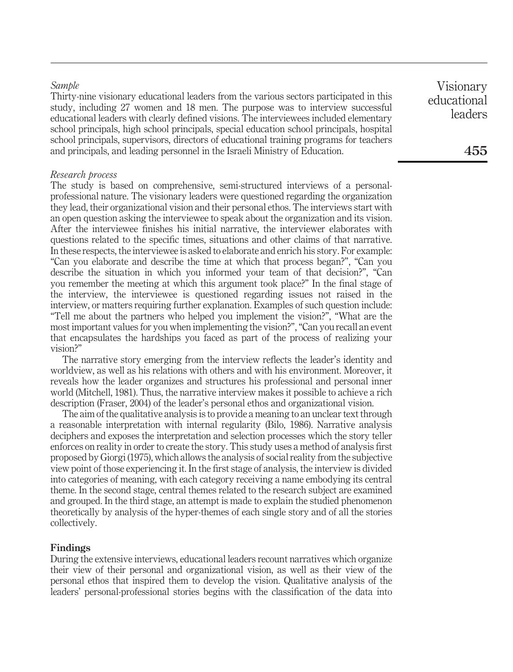# **Sample**

Thirty-nine visionary educational leaders from the various sectors participated in this study, including 27 women and 18 men. The purpose was to interview successful educational leaders with clearly defined visions. The interviewees included elementary school principals, high school principals, special education school principals, hospital school principals, supervisors, directors of educational training programs for teachers and principals, and leading personnel in the Israeli Ministry of Education.

# Research process

The study is based on comprehensive, semi-structured interviews of a personalprofessional nature. The visionary leaders were questioned regarding the organization they lead, their organizational vision and their personal ethos. The interviews start with an open question asking the interviewee to speak about the organization and its vision. After the interviewee finishes his initial narrative, the interviewer elaborates with questions related to the specific times, situations and other claims of that narrative. In these respects, the interviewee is asked to elaborate and enrich his story. For example: "Can you elaborate and describe the time at which that process began?", "Can you describe the situation in which you informed your team of that decision?", "Can you remember the meeting at which this argument took place?" In the final stage of the interview, the interviewee is questioned regarding issues not raised in the interview, or matters requiring further explanation. Examples of such question include: "Tell me about the partners who helped you implement the vision?", "What are the most important values for you when implementing the vision?", "Can you recall an event that encapsulates the hardships you faced as part of the process of realizing your vision?"

The narrative story emerging from the interview reflects the leader's identity and worldview, as well as his relations with others and with his environment. Moreover, it reveals how the leader organizes and structures his professional and personal inner world (Mitchell, 1981). Thus, the narrative interview makes it possible to achieve a rich description (Fraser, 2004) of the leader's personal ethos and organizational vision.

The aim of the qualitative analysis is to provide a meaning to an unclear text through a reasonable interpretation with internal regularity (Bilo, 1986). Narrative analysis deciphers and exposes the interpretation and selection processes which the story teller enforces on reality in order to create the story. This study uses a method of analysis first proposed by Giorgi (1975), which allows the analysis of social reality from the subjective view point of those experiencing it. In the first stage of analysis, the interview is divided into categories of meaning, with each category receiving a name embodying its central theme. In the second stage, central themes related to the research subject are examined and grouped. In the third stage, an attempt is made to explain the studied phenomenon theoretically by analysis of the hyper-themes of each single story and of all the stories collectively.

# Findings

During the extensive interviews, educational leaders recount narratives which organize their view of their personal and organizational vision, as well as their view of the personal ethos that inspired them to develop the vision. Qualitative analysis of the leaders' personal-professional stories begins with the classification of the data into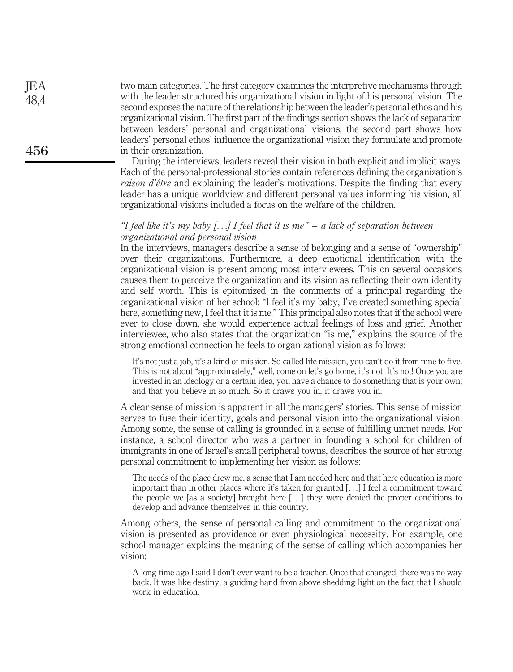two main categories. The first category examines the interpretive mechanisms through with the leader structured his organizational vision in light of his personal vision. The second exposes the nature of the relationship between the leader's personal ethos and his organizational vision. The first part of the findings section shows the lack of separation between leaders' personal and organizational visions; the second part shows how leaders' personal ethos' influence the organizational vision they formulate and promote in their organization.

During the interviews, leaders reveal their vision in both explicit and implicit ways. Each of the personal-professional stories contain references defining the organization's *raison d'être* and explaining the leader's motivations. Despite the finding that every leader has a unique worldview and different personal values informing his vision, all organizational visions included a focus on the welfare of the children.

# "I feel like it's my baby  $\lceil \ldots \rceil$  I feel that it is me" – a lack of separation between organizational and personal vision

In the interviews, managers describe a sense of belonging and a sense of "ownership" over their organizations. Furthermore, a deep emotional identification with the organizational vision is present among most interviewees. This on several occasions causes them to perceive the organization and its vision as reflecting their own identity and self worth. This is epitomized in the comments of a principal regarding the organizational vision of her school: "I feel it's my baby, I've created something special here, something new, I feel that it is me." This principal also notes that if the school were ever to close down, she would experience actual feelings of loss and grief. Another interviewee, who also states that the organization "is me," explains the source of the strong emotional connection he feels to organizational vision as follows:

It's not just a job, it's a kind of mission. So-called life mission, you can't do it from nine to five. This is not about "approximately," well, come on let's go home, it's not. It's not! Once you are invested in an ideology or a certain idea, you have a chance to do something that is your own, and that you believe in so much. So it draws you in, it draws you in.

A clear sense of mission is apparent in all the managers' stories. This sense of mission serves to fuse their identity, goals and personal vision into the organizational vision. Among some, the sense of calling is grounded in a sense of fulfilling unmet needs. For instance, a school director who was a partner in founding a school for children of immigrants in one of Israel's small peripheral towns, describes the source of her strong personal commitment to implementing her vision as follows:

The needs of the place drew me, a sense that I am needed here and that here education is more important than in other places where it's taken for granted [...] I feel a commitment toward the people we [as a society] brought here [...] they were denied the proper conditions to develop and advance themselves in this country.

Among others, the sense of personal calling and commitment to the organizational vision is presented as providence or even physiological necessity. For example, one school manager explains the meaning of the sense of calling which accompanies her vision:

A long time ago I said I don't ever want to be a teacher. Once that changed, there was no way back. It was like destiny, a guiding hand from above shedding light on the fact that I should work in education.

**JEA** 48,4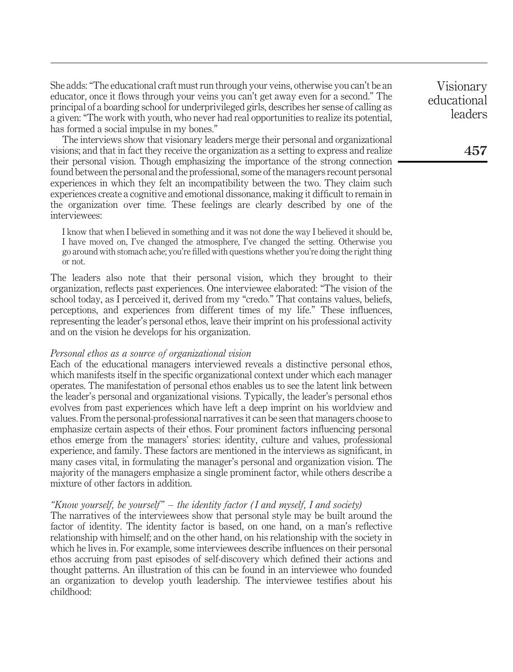She adds: "The educational craft must run through your veins, otherwise you can't be an educator, once it flows through your veins you can't get away even for a second." The principal of a boarding school for underprivileged girls, describes her sense of calling as a given: "The work with youth, who never had real opportunities to realize its potential, has formed a social impulse in my bones."

The interviews show that visionary leaders merge their personal and organizational visions; and that in fact they receive the organization as a setting to express and realize their personal vision. Though emphasizing the importance of the strong connection found between the personal and the professional, some of the managers recount personal experiences in which they felt an incompatibility between the two. They claim such experiences create a cognitive and emotional dissonance, making it difficult to remain in the organization over time. These feelings are clearly described by one of the interviewees:

I know that when I believed in something and it was not done the way I believed it should be, I have moved on, I've changed the atmosphere, I've changed the setting. Otherwise you go around with stomach ache; you're filled with questions whether you're doing the right thing or not.

The leaders also note that their personal vision, which they brought to their organization, reflects past experiences. One interviewee elaborated: "The vision of the school today, as I perceived it, derived from my "credo." That contains values, beliefs, perceptions, and experiences from different times of my life." These influences, representing the leader's personal ethos, leave their imprint on his professional activity and on the vision he develops for his organization.

#### Personal ethos as a source of organizational vision

Each of the educational managers interviewed reveals a distinctive personal ethos, which manifests itself in the specific organizational context under which each manager operates. The manifestation of personal ethos enables us to see the latent link between the leader's personal and organizational visions. Typically, the leader's personal ethos evolves from past experiences which have left a deep imprint on his worldview and values. From the personal-professional narratives it can be seen that managers choose to emphasize certain aspects of their ethos. Four prominent factors influencing personal ethos emerge from the managers' stories: identity, culture and values, professional experience, and family. These factors are mentioned in the interviews as significant, in many cases vital, in formulating the manager's personal and organization vision. The majority of the managers emphasize a single prominent factor, while others describe a mixture of other factors in addition.

# "Know yourself, be yourself" – the identity factor  $(I$  and myself, I and society)

The narratives of the interviewees show that personal style may be built around the factor of identity. The identity factor is based, on one hand, on a man's reflective relationship with himself; and on the other hand, on his relationship with the society in which he lives in. For example, some interviewees describe influences on their personal ethos accruing from past episodes of self-discovery which defined their actions and thought patterns. An illustration of this can be found in an interviewee who founded an organization to develop youth leadership. The interviewee testifies about his childhood: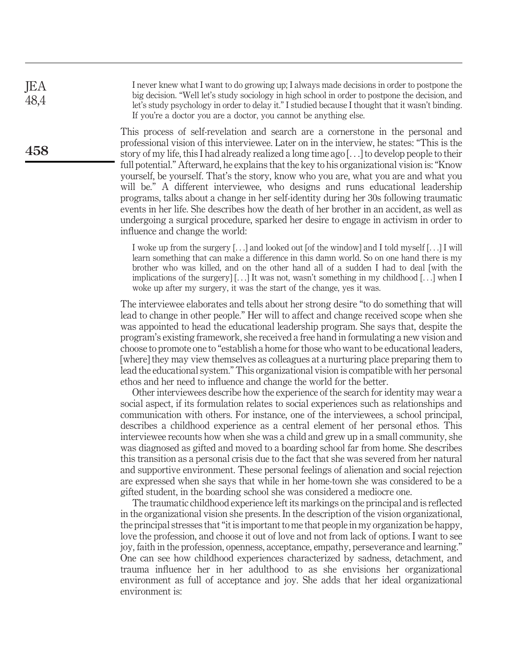I never knew what I want to do growing up; I always made decisions in order to postpone the big decision. "Well let's study sociology in high school in order to postpone the decision, and let's study psychology in order to delay it." I studied because I thought that it wasn't binding. If you're a doctor you are a doctor, you cannot be anything else.

This process of self-revelation and search are a cornerstone in the personal and professional vision of this interviewee. Later on in the interview, he states: "This is the story of my life, this I had already realized a long time ago [...] to develop people to their full potential." Afterward, he explains that the key to his organizational vision is: "Know yourself, be yourself. That's the story, know who you are, what you are and what you will be." A different interviewee, who designs and runs educational leadership programs, talks about a change in her self-identity during her 30s following traumatic events in her life. She describes how the death of her brother in an accident, as well as undergoing a surgical procedure, sparked her desire to engage in activism in order to influence and change the world:

I woke up from the surgery [...] and looked out [of the window] and I told myself [...] I will learn something that can make a difference in this damn world. So on one hand there is my brother who was killed, and on the other hand all of a sudden I had to deal [with the implications of the surgery] [...] It was not, wasn't something in my childhood [...] when I woke up after my surgery, it was the start of the change, yes it was.

The interviewee elaborates and tells about her strong desire "to do something that will lead to change in other people." Her will to affect and change received scope when she was appointed to head the educational leadership program. She says that, despite the program's existing framework, she received a free hand in formulating a new vision and choose to promote one to "establish a home for those who want to be educational leaders, [where] they may view themselves as colleagues at a nurturing place preparing them to lead the educational system." This organizational vision is compatible with her personal ethos and her need to influence and change the world for the better.

Other interviewees describe how the experience of the search for identity may wear a social aspect, if its formulation relates to social experiences such as relationships and communication with others. For instance, one of the interviewees, a school principal, describes a childhood experience as a central element of her personal ethos. This interviewee recounts how when she was a child and grew up in a small community, she was diagnosed as gifted and moved to a boarding school far from home. She describes this transition as a personal crisis due to the fact that she was severed from her natural and supportive environment. These personal feelings of alienation and social rejection are expressed when she says that while in her home-town she was considered to be a gifted student, in the boarding school she was considered a mediocre one.

The traumatic childhood experience left its markings on the principal and is reflected in the organizational vision she presents. In the description of the vision organizational, the principal stresses that "it is important to me that people in my organization be happy, love the profession, and choose it out of love and not from lack of options. I want to see joy, faith in the profession, openness, acceptance, empathy, perseverance and learning." One can see how childhood experiences characterized by sadness, detachment, and trauma influence her in her adulthood to as she envisions her organizational environment as full of acceptance and joy. She adds that her ideal organizational environment is:

JEA 48,4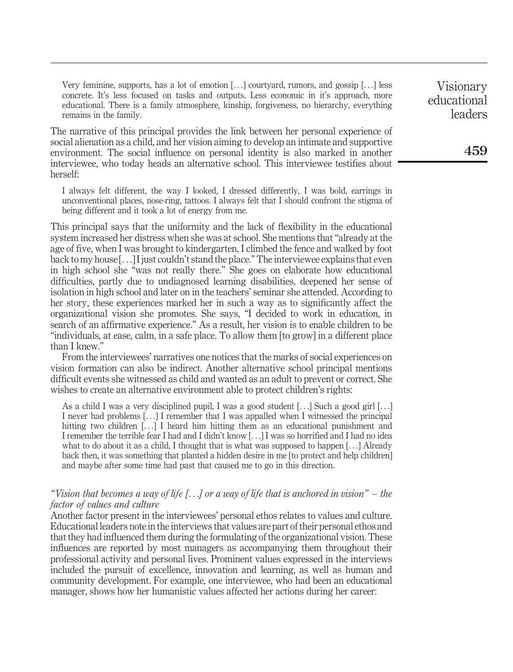Very feminine, supports, has a lot of emotion [...] courtyard, rumors, and gossip [...] less concrete. It's less focused on tasks and outputs. Less economic in it's approach, more educational. There is a family atmosphere, kinship, forgiveness, no hierarchy, everything remains in the family.

The narrative of this principal provides the link between her personal experience of social alienation as a child, and her vision aiming to develop an intimate and supportive environment. The social influence on personal identity is also marked in another interviewee, who today heads an alternative school. This interviewee testifies about herself:

I always felt different, the way I looked, I dressed differently, I was bold, earrings in unconventional places, nose-ring, tattoos. I always felt that I should confront the stigma of being different and it took a lot of energy from me.

This principal says that the uniformity and the lack of flexibility in the educational system increased her distress when she was at school. She mentions that "already at the age of five, when I was brought to kindergarten, I climbed the fence and walked by foot back to my house [...] I just couldn't stand the place." The interviewee explains that even in high school she "was not really there." She goes on elaborate how educational difficulties, partly due to undiagnosed learning disabilities, deepened her sense of isolation in high school and later on in the teachers' seminar she attended. According to her story, these experiences marked her in such a way as to significantly affect the organizational vision she promotes. She says, "I decided to work in education, in search of an affirmative experience." As a result, her vision is to enable children to be "individuals, at ease, calm, in a safe place. To allow them [to grow] in a different place than I knew."

From the interviewees' narratives one notices that the marks of social experiences on vision formation can also be indirect. Another alternative school principal mentions difficult events she witnessed as child and wanted as an adult to prevent or correct. She wishes to create an alternative environment able to protect children's rights:

As a child I was a very disciplined pupil, I was a good student [...] Such a good girl [...] I never had problems [...] I remember that I was appalled when I witnessed the principal hitting two children [...] I heard him hitting them as an educational punishment and I remember the terrible fear I had and I didn't know [...] I was so horrified and I had no idea what to do about it as a child, I thought that is what was supposed to happen [...] Already back then, it was something that planted a hidden desire in me [to protect and help children] and maybe after some time had past that caused me to go in this direction.

# "Vision that becomes a way of life  $[\ldots]$  or a way of life that is anchored in vision" – the factor of values and culture

Another factor present in the interviewees' personal ethos relates to values and culture. Educational leaders note in the interviews that values are part of their personal ethos and that they had influenced them during the formulating of the organizational vision. These influences are reported by most managers as accompanying them throughout their professional activity and personal lives. Prominent values expressed in the interviews included the pursuit of excellence, innovation and learning, as well as human and community development. For example, one interviewee, who had been an educational manager, shows how her humanistic values affected her actions during her career: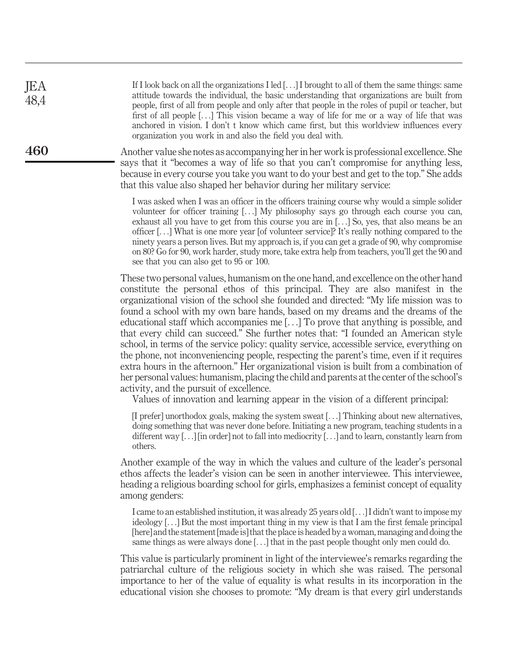If I look back on all the organizations I led  $[\ldots]$  I brought to all of them the same things: same attitude towards the individual, the basic understanding that organizations are built from people, first of all from people and only after that people in the roles of pupil or teacher, but first of all people [...] This vision became a way of life for me or a way of life that was anchored in vision. I don't t know which came first, but this worldview influences every organization you work in and also the field you deal with.

Another value she notes as accompanying her in her work is professional excellence. She says that it "becomes a way of life so that you can't compromise for anything less, because in every course you take you want to do your best and get to the top." She adds that this value also shaped her behavior during her military service:

I was asked when I was an officer in the officers training course why would a simple solider volunteer for officer training [...] My philosophy says go through each course you can, exhaust all you have to get from this course you are in [...] So, yes, that also means be an officer [...] What is one more year [of volunteer service]? It's really nothing compared to the ninety years a person lives. But my approach is, if you can get a grade of 90, why compromise on 80? Go for 90, work harder, study more, take extra help from teachers, you'll get the 90 and see that you can also get to 95 or 100.

These two personal values, humanism on the one hand, and excellence on the other hand constitute the personal ethos of this principal. They are also manifest in the organizational vision of the school she founded and directed: "My life mission was to found a school with my own bare hands, based on my dreams and the dreams of the educational staff which accompanies me [...] To prove that anything is possible, and that every child can succeed." She further notes that: "I founded an American style school, in terms of the service policy: quality service, accessible service, everything on the phone, not inconveniencing people, respecting the parent's time, even if it requires extra hours in the afternoon." Her organizational vision is built from a combination of her personal values: humanism, placing the child and parents at the center of the school's activity, and the pursuit of excellence.

Values of innovation and learning appear in the vision of a different principal:

[I prefer] unorthodox goals, making the system sweat [...] Thinking about new alternatives, doing something that was never done before. Initiating a new program, teaching students in a different way  $[\ldots]$  [in order] not to fall into mediocrity  $[\ldots]$  and to learn, constantly learn from others.

Another example of the way in which the values and culture of the leader's personal ethos affects the leader's vision can be seen in another interviewee. This interviewee, heading a religious boarding school for girls, emphasizes a feminist concept of equality among genders:

I came to an established institution, it was already 25 years old [...] I didn't want to impose my ideology [...] But the most important thing in my view is that I am the first female principal [here] and the statement [made is] that the place is headed by a woman, managing and doing the same things as were always done [...] that in the past people thought only men could do.

This value is particularly prominent in light of the interviewee's remarks regarding the patriarchal culture of the religious society in which she was raised. The personal importance to her of the value of equality is what results in its incorporation in the educational vision she chooses to promote: "My dream is that every girl understands

**IEA** 48,4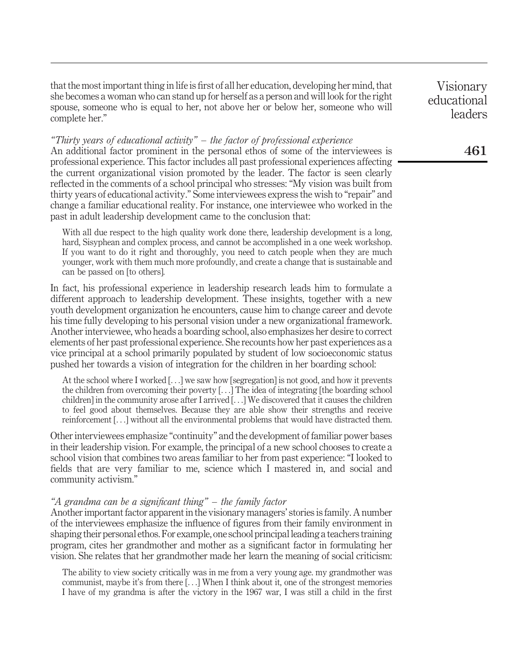that the most important thing in life is first of all her education, developing her mind, that she becomes a woman who can stand up for herself as a person and will look for the right spouse, someone who is equal to her, not above her or below her, someone who will complete her."

#### "Thirty years of educational activity"  $-$  the factor of professional experience

An additional factor prominent in the personal ethos of some of the interviewees is professional experience. This factor includes all past professional experiences affecting the current organizational vision promoted by the leader. The factor is seen clearly reflected in the comments of a school principal who stresses: "My vision was built from thirty years of educational activity." Some interviewees express the wish to "repair" and change a familiar educational reality. For instance, one interviewee who worked in the past in adult leadership development came to the conclusion that:

With all due respect to the high quality work done there, leadership development is a long. hard, Sisyphean and complex process, and cannot be accomplished in a one week workshop. If you want to do it right and thoroughly, you need to catch people when they are much younger, work with them much more profoundly, and create a change that is sustainable and can be passed on [to others].

In fact, his professional experience in leadership research leads him to formulate a different approach to leadership development. These insights, together with a new youth development organization he encounters, cause him to change career and devote his time fully developing to his personal vision under a new organizational framework. Another interviewee, who heads a boarding school, also emphasizes her desire to correct elements of her past professional experience. She recounts how her past experiences as a vice principal at a school primarily populated by student of low socioeconomic status pushed her towards a vision of integration for the children in her boarding school:

At the school where I worked [...] we saw how [segregation] is not good, and how it prevents the children from overcoming their poverty [...] The idea of integrating [the boarding school children] in the community arose after I arrived [...] We discovered that it causes the children to feel good about themselves. Because they are able show their strengths and receive reinforcement [...] without all the environmental problems that would have distracted them.

Other interviewees emphasize "continuity" and the development of familiar power bases in their leadership vision. For example, the principal of a new school chooses to create a school vision that combines two areas familiar to her from past experience: "I looked to fields that are very familiar to me, science which I mastered in, and social and community activism."

# "A grandma can be a significant thing" – the family factor

Another important factor apparent in the visionary managers' stories is family. A number of the interviewees emphasize the influence of figures from their family environment in shaping their personal ethos. For example, one school principal leading a teachers training program, cites her grandmother and mother as a significant factor in formulating her vision. She relates that her grandmother made her learn the meaning of social criticism:

The ability to view society critically was in me from a very young age. my grandmother was communist, maybe it's from there [...] When I think about it, one of the strongest memories I have of my grandma is after the victory in the 1967 war, I was still a child in the first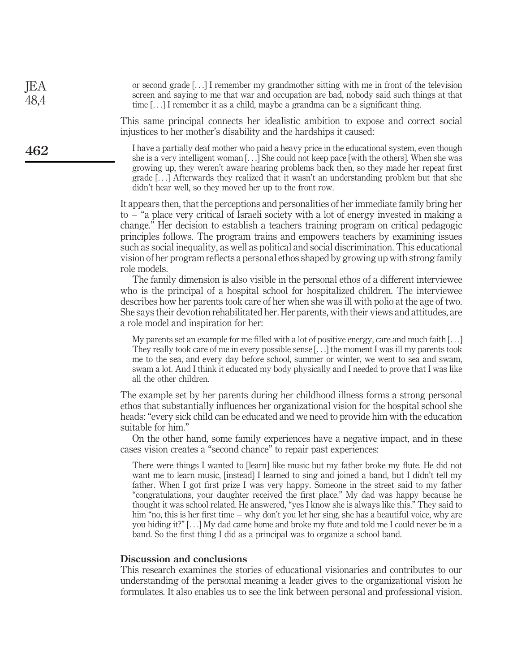or second grade [...] I remember my grandmother sitting with me in front of the television screen and saying to me that war and occupation are bad, nobody said such things at that time [...] I remember it as a child, maybe a grandma can be a significant thing. **JEA** 48,4

462

This same principal connects her idealistic ambition to expose and correct social injustices to her mother's disability and the hardships it caused:

I have a partially deaf mother who paid a heavy price in the educational system, even though she is a very intelligent woman [...] She could not keep pace [with the others]. When she was growing up, they weren't aware hearing problems back then, so they made her repeat first grade [...] Afterwards they realized that it wasn't an understanding problem but that she didn't hear well, so they moved her up to the front row.

It appears then, that the perceptions and personalities of her immediate family bring her to – "a place very critical of Israeli society with a lot of energy invested in making a change." Her decision to establish a teachers training program on critical pedagogic principles follows. The program trains and empowers teachers by examining issues such as social inequality, as well as political and social discrimination. This educational vision of her program reflects a personal ethos shaped by growing up with strong family role models.

The family dimension is also visible in the personal ethos of a different interviewee who is the principal of a hospital school for hospitalized children. The interviewee describes how her parents took care of her when she was ill with polio at the age of two. She says their devotion rehabilitated her. Her parents, with their views and attitudes, are a role model and inspiration for her:

My parents set an example for me filled with a lot of positive energy, care and much faith [...] They really took care of me in every possible sense [...] the moment I was ill my parents took me to the sea, and every day before school, summer or winter, we went to sea and swam, swam a lot. And I think it educated my body physically and I needed to prove that I was like all the other children.

The example set by her parents during her childhood illness forms a strong personal ethos that substantially influences her organizational vision for the hospital school she heads: "every sick child can be educated and we need to provide him with the education suitable for him."

On the other hand, some family experiences have a negative impact, and in these cases vision creates a "second chance" to repair past experiences:

There were things I wanted to [learn] like music but my father broke my flute. He did not want me to learn music, [instead] I learned to sing and joined a band, but I didn't tell my father. When I got first prize I was very happy. Someone in the street said to my father "congratulations, your daughter received the first place." My dad was happy because he thought it was school related. He answered, "yes I know she is always like this." They said to him "no, this is her first time – why don't you let her sing, she has a beautiful voice, why are you hiding it?" [...] My dad came home and broke my flute and told me I could never be in a band. So the first thing I did as a principal was to organize a school band.

#### Discussion and conclusions

This research examines the stories of educational visionaries and contributes to our understanding of the personal meaning a leader gives to the organizational vision he formulates. It also enables us to see the link between personal and professional vision.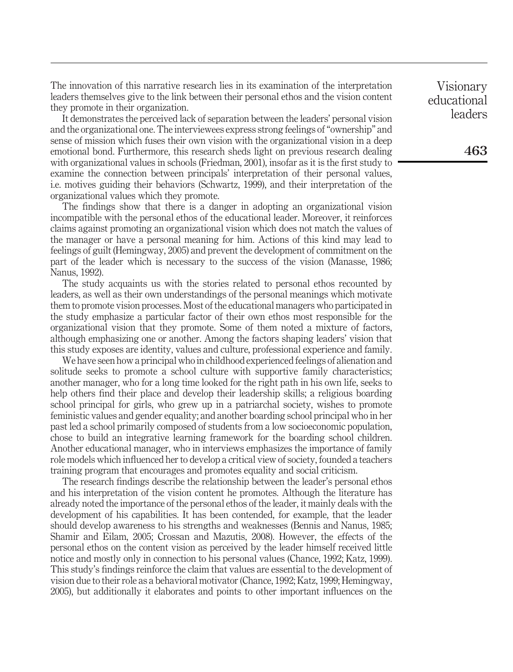The innovation of this narrative research lies in its examination of the interpretation leaders themselves give to the link between their personal ethos and the vision content they promote in their organization.

It demonstrates the perceived lack of separation between the leaders' personal vision and the organizational one. The interviewees express strong feelings of "ownership" and sense of mission which fuses their own vision with the organizational vision in a deep emotional bond. Furthermore, this research sheds light on previous research dealing with organizational values in schools (Friedman, 2001), insofar as it is the first study to examine the connection between principals' interpretation of their personal values, i.e. motives guiding their behaviors (Schwartz, 1999), and their interpretation of the organizational values which they promote.

The findings show that there is a danger in adopting an organizational vision incompatible with the personal ethos of the educational leader. Moreover, it reinforces claims against promoting an organizational vision which does not match the values of the manager or have a personal meaning for him. Actions of this kind may lead to feelings of guilt (Hemingway, 2005) and prevent the development of commitment on the part of the leader which is necessary to the success of the vision (Manasse, 1986; Nanus, 1992).

The study acquaints us with the stories related to personal ethos recounted by leaders, as well as their own understandings of the personal meanings which motivate them to promote vision processes. Most of the educational managers who participated in the study emphasize a particular factor of their own ethos most responsible for the organizational vision that they promote. Some of them noted a mixture of factors, although emphasizing one or another. Among the factors shaping leaders' vision that this study exposes are identity, values and culture, professional experience and family.

We have seen how a principal who in childhood experienced feelings of alienation and solitude seeks to promote a school culture with supportive family characteristics; another manager, who for a long time looked for the right path in his own life, seeks to help others find their place and develop their leadership skills; a religious boarding school principal for girls, who grew up in a patriarchal society, wishes to promote feministic values and gender equality; and another boarding school principal who in her past led a school primarily composed of students from a low socioeconomic population, chose to build an integrative learning framework for the boarding school children. Another educational manager, who in interviews emphasizes the importance of family role models which influenced her to develop a critical view of society, founded a teachers training program that encourages and promotes equality and social criticism.

The research findings describe the relationship between the leader's personal ethos and his interpretation of the vision content he promotes. Although the literature has already noted the importance of the personal ethos of the leader, it mainly deals with the development of his capabilities. It has been contended, for example, that the leader should develop awareness to his strengths and weaknesses (Bennis and Nanus, 1985; Shamir and Eilam, 2005; Crossan and Mazutis, 2008). However, the effects of the personal ethos on the content vision as perceived by the leader himself received little notice and mostly only in connection to his personal values (Chance, 1992; Katz, 1999). This study's findings reinforce the claim that values are essential to the development of vision due to their role as a behavioral motivator (Chance, 1992; Katz, 1999; Hemingway, 2005), but additionally it elaborates and points to other important influences on the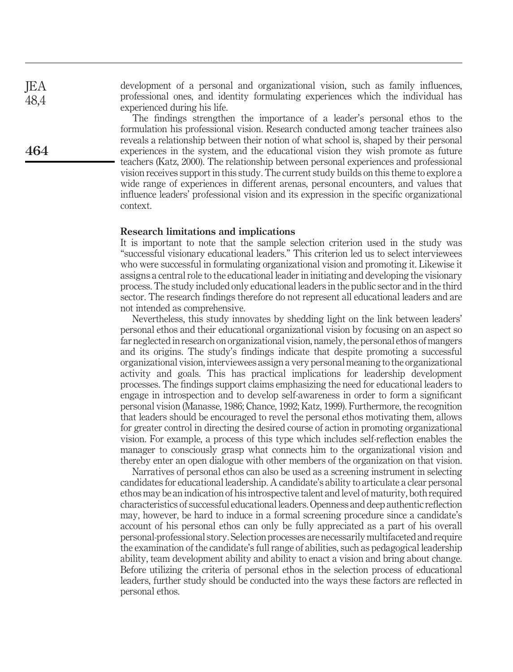development of a personal and organizational vision, such as family influences, professional ones, and identity formulating experiences which the individual has experienced during his life.

The findings strengthen the importance of a leader's personal ethos to the formulation his professional vision. Research conducted among teacher trainees also reveals a relationship between their notion of what school is, shaped by their personal experiences in the system, and the educational vision they wish promote as future teachers (Katz, 2000). The relationship between personal experiences and professional vision receives support in this study. The current study builds on this theme to explore a wide range of experiences in different arenas, personal encounters, and values that influence leaders' professional vision and its expression in the specific organizational context.

#### Research limitations and implications

It is important to note that the sample selection criterion used in the study was "successful visionary educational leaders." This criterion led us to select interviewees who were successful in formulating organizational vision and promoting it. Likewise it assigns a central role to the educational leader in initiating and developing the visionary process. The study included only educational leaders in the public sector and in the third sector. The research findings therefore do not represent all educational leaders and are not intended as comprehensive.

Nevertheless, this study innovates by shedding light on the link between leaders' personal ethos and their educational organizational vision by focusing on an aspect so far neglected in research on organizational vision, namely, the personal ethos of mangers and its origins. The study's findings indicate that despite promoting a successful organizational vision, interviewees assign a very personal meaning to the organizational activity and goals. This has practical implications for leadership development processes. The findings support claims emphasizing the need for educational leaders to engage in introspection and to develop self-awareness in order to form a significant personal vision (Manasse, 1986; Chance, 1992; Katz, 1999). Furthermore, the recognition that leaders should be encouraged to revel the personal ethos motivating them, allows for greater control in directing the desired course of action in promoting organizational vision. For example, a process of this type which includes self-reflection enables the manager to consciously grasp what connects him to the organizational vision and thereby enter an open dialogue with other members of the organization on that vision.

Narratives of personal ethos can also be used as a screening instrument in selecting candidates for educational leadership. A candidate's ability to articulate a clear personal ethos may be an indication of his introspective talent and level of maturity, both required characteristics of successful educational leaders. Openness and deep authentic reflection may, however, be hard to induce in a formal screening procedure since a candidate's account of his personal ethos can only be fully appreciated as a part of his overall personal-professional story. Selection processes are necessarily multifaceted and require the examination of the candidate's full range of abilities, such as pedagogical leadership ability, team development ability and ability to enact a vision and bring about change. Before utilizing the criteria of personal ethos in the selection process of educational leaders, further study should be conducted into the ways these factors are reflected in personal ethos.

**IEA** 48,4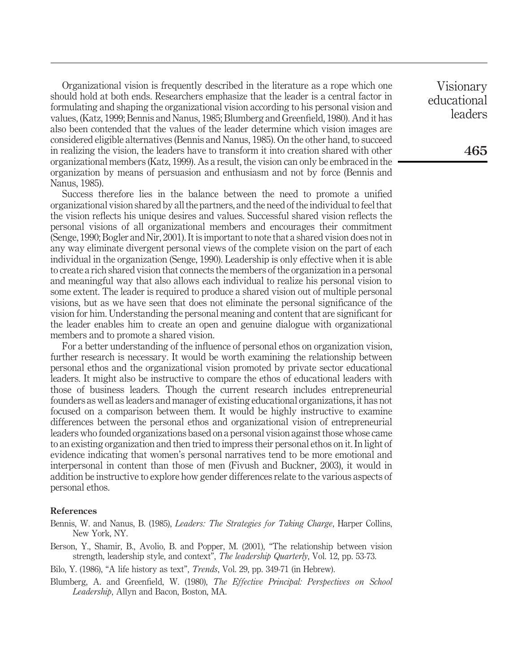Organizational vision is frequently described in the literature as a rope which one should hold at both ends. Researchers emphasize that the leader is a central factor in formulating and shaping the organizational vision according to his personal vision and values, (Katz, 1999; Bennis and Nanus, 1985; Blumberg and Greenfield, 1980). And it has also been contended that the values of the leader determine which vision images are considered eligible alternatives (Bennis and Nanus, 1985). On the other hand, to succeed in realizing the vision, the leaders have to transform it into creation shared with other organizational members (Katz, 1999). As a result, the vision can only be embraced in the organization by means of persuasion and enthusiasm and not by force (Bennis and Nanus, 1985).

Success therefore lies in the balance between the need to promote a unified organizational vision shared by all the partners, and the need of the individual to feel that the vision reflects his unique desires and values. Successful shared vision reflects the personal visions of all organizational members and encourages their commitment (Senge, 1990; Bogler and Nir, 2001). It is important to note that a shared vision does not in any way eliminate divergent personal views of the complete vision on the part of each individual in the organization (Senge, 1990). Leadership is only effective when it is able to create a rich shared vision that connects the members of the organization in a personal and meaningful way that also allows each individual to realize his personal vision to some extent. The leader is required to produce a shared vision out of multiple personal visions, but as we have seen that does not eliminate the personal significance of the vision for him. Understanding the personal meaning and content that are significant for the leader enables him to create an open and genuine dialogue with organizational members and to promote a shared vision.

For a better understanding of the influence of personal ethos on organization vision, further research is necessary. It would be worth examining the relationship between personal ethos and the organizational vision promoted by private sector educational leaders. It might also be instructive to compare the ethos of educational leaders with those of business leaders. Though the current research includes entrepreneurial founders as well as leaders and manager of existing educational organizations, it has not focused on a comparison between them. It would be highly instructive to examine differences between the personal ethos and organizational vision of entrepreneurial leaders who founded organizations based on a personal vision against those whose came to an existing organization and then tried to impress their personal ethos on it. In light of evidence indicating that women's personal narratives tend to be more emotional and interpersonal in content than those of men (Fivush and Buckner, 2003), it would in addition be instructive to explore how gender differences relate to the various aspects of personal ethos.

#### References

Bennis, W. and Nanus, B. (1985), Leaders: The Strategies for Taking Charge, Harper Collins, New York, NY.

Berson, Y., Shamir, B., Avolio, B. and Popper, M. (2001), "The relationship between vision strength, leadership style, and context", The leadership Quarterly, Vol. 12, pp. 53-73.

Bilo, Y. (1986), "A life history as text", Trends, Vol. 29, pp. 349-71 (in Hebrew).

Blumberg, A. and Greenfield, W. (1980), The Effective Principal: Perspectives on School Leadership, Allyn and Bacon, Boston, MA.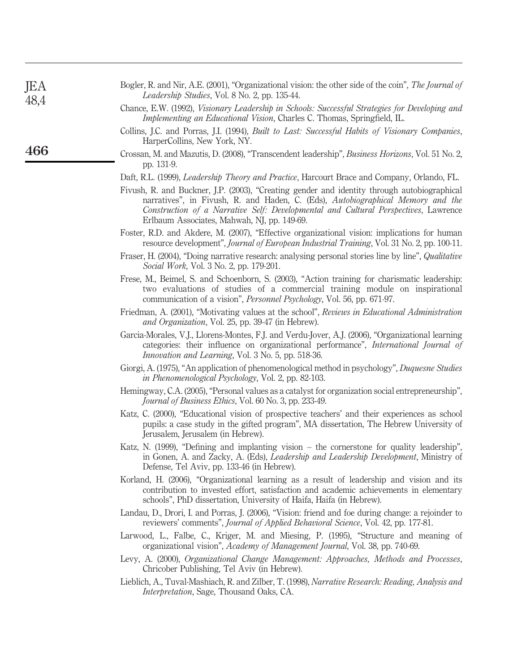| JEA  | Bogler, R. and Nir, A.E. (2001), "Organizational vision: the other side of the coin", The Journal of<br>Leadership Studies, Vol. 8 No. 2, pp. 135-44.                                                                                                                                                                |
|------|----------------------------------------------------------------------------------------------------------------------------------------------------------------------------------------------------------------------------------------------------------------------------------------------------------------------|
| 48,4 | Chance, E.W. (1992), Visionary Leadership in Schools: Successful Strategies for Developing and<br>Implementing an Educational Vision, Charles C. Thomas, Springfield, IL.                                                                                                                                            |
|      | Collins, J.C. and Porras, J.I. (1994), Built to Last: Successful Habits of Visionary Companies,<br>HarperCollins, New York, NY.                                                                                                                                                                                      |
| 466  | Crossan, M. and Mazutis, D. (2008), "Transcendent leadership", Business Horizons, Vol. 51 No. 2,<br>pp. 131-9.                                                                                                                                                                                                       |
|      | Daft, R.L. (1999), Leadership Theory and Practice, Harcourt Brace and Company, Orlando, FL.                                                                                                                                                                                                                          |
|      | Fivush, R. and Buckner, J.P. (2003), "Creating gender and identity through autobiographical<br>narratives", in Fivush, R. and Haden, C. (Eds), Autobiographical Memory and the<br>Construction of a Narrative Self: Developmental and Cultural Perspectives, Lawrence<br>Erlbaum Associates, Mahwah, NJ, pp. 149-69. |
|      | Foster, R.D. and Akdere, M. (2007), "Effective organizational vision: implications for human<br>resource development", Journal of European Industrial Training, Vol. 31 No. 2, pp. 100-11.                                                                                                                           |
|      | Fraser, H. (2004), "Doing narrative research: analysing personal stories line by line", Qualitative<br><i>Social Work</i> , Vol. 3 No. 2, pp. 179-201.                                                                                                                                                               |
|      | Frese, M., Beimel, S. and Schoenborn, S. (2003), "Action training for charismatic leadership:<br>two evaluations of studies of a commercial training module on inspirational<br>communication of a vision", Personnel Psychology, Vol. 56, pp. 671-97.                                                               |
|      | Friedman, A. (2001), "Motivating values at the school", Reviews in Educational Administration<br>and Organization, Vol. 25, pp. 39-47 (in Hebrew).                                                                                                                                                                   |
|      | Garcia-Morales, V.J., Llorens-Montes, F.J. and Verdu-Jover, A.J. (2006), "Organizational learning<br>categories: their influence on organizational performance", International Journal of<br><i>Innovation and Learning</i> , Vol. 3 No. 5, pp. 518-36.                                                              |
|      | Giorgi, A. (1975), "An application of phenomenological method in psychology", <i>Duquesne Studies</i><br><i>in Phenomenological Psychology, Vol. 2, pp. 82-103.</i>                                                                                                                                                  |
|      | Hemingway, C.A. (2005), "Personal values as a catalyst for organization social entrepreneurship",<br>Journal of Business Ethics, Vol. 60 No. 3, pp. 233-49.                                                                                                                                                          |
|      | Katz, C. (2000), "Educational vision of prospective teachers' and their experiences as school<br>pupils: a case study in the gifted program", MA dissertation, The Hebrew University of<br>Jerusalem, Jerusalem (in Hebrew).                                                                                         |
|      | Katz, N. (1999), "Defining and implanting vision – the cornerstone for quality leadership",<br>in Gonen, A. and Zacky, A. (Eds), <i>Leadership and Leadership Development</i> , Ministry of<br>Defense, Tel Aviv, pp. 133-46 (in Hebrew).                                                                            |
|      | Korland, H. (2006), "Organizational learning as a result of leadership and vision and its<br>contribution to invested effort, satisfaction and academic achievements in elementary<br>schools", PhD dissertation, University of Haifa, Haifa (in Hebrew).                                                            |
|      | Landau, D., Drori, I. and Porras, J. (2006), "Vision: friend and foe during change: a rejoinder to<br>reviewers' comments", Journal of Applied Behavioral Science, Vol. 42, pp. 177-81.                                                                                                                              |
|      | Larwood, L., Falbe, C., Kriger, M. and Miesing, P. (1995), "Structure and meaning of<br>organizational vision", Academy of Management Journal, Vol. 38, pp. 740-69.                                                                                                                                                  |
|      | Levy, A. (2000), Organizational Change Management: Approaches, Methods and Processes,<br>Chricober Publishing, Tel Aviv (in Hebrew).                                                                                                                                                                                 |
|      | Lieblich, A., Tuval-Mashiach, R. and Zilber, T. (1998), Narrative Research: Reading, Analysis and<br><i>Interpretation</i> , Sage, Thousand Oaks, CA.                                                                                                                                                                |